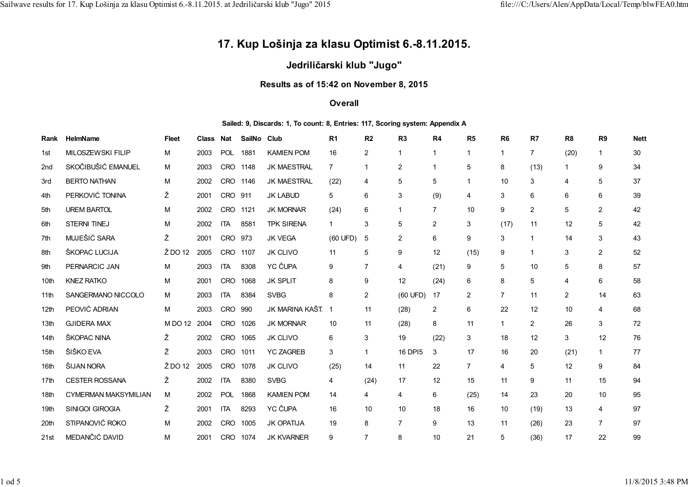# **17. Kup Lošinja za klasu Optimist 6.-8.11.2015.**

## **Jedriličarski klub "Jugo"**

## **Results as of 15:42 on November 8, 2015**

### **Overall**

#### **Sailed: 9, Discards: 1, To count: 8, Entries: 117, Scoring system: Appendix A**

| Rank             | <b>HelmName</b>             | <b>Fleet</b> | Class | Nat        | SailNo Club |                    | R <sub>1</sub> | R2             | R <sub>3</sub> | R <sub>4</sub> | R <sub>5</sub> | R <sub>6</sub> | R7             | R <sub>8</sub> | R <sub>9</sub> | <b>Nett</b> |
|------------------|-----------------------------|--------------|-------|------------|-------------|--------------------|----------------|----------------|----------------|----------------|----------------|----------------|----------------|----------------|----------------|-------------|
| 1st              | <b>MILOSZEWSKI FILIP</b>    | м            | 2003  | POL        | 1881        | <b>KAMIEN POM</b>  | 16             | $\overline{2}$ | $\mathbf{1}$   | $\overline{1}$ | $\mathbf 1$    | $\mathbf 1$    | $\overline{7}$ | (20)           | $\mathbf{1}$   | 30          |
| 2 <sub>nd</sub>  | SKOČIBUŠIĆ EMANUEL          | м            | 2003  | <b>CRO</b> | 1148        | <b>JK MAESTRAL</b> | $\overline{7}$ | 1              | 2              |                | 5              | 8              | (13)           |                | 9              | 34          |
| 3rd              | <b>BERTO NATHAN</b>         | М            | 2002  | <b>CRO</b> | 1146        | JK MAESTRAL        | (22)           | 4              | 5              | 5              |                | 10             | 3              | 4              | 5              | 37          |
| 4th              | PERKOVIĆ TONINA             | Ž            | 2001  | <b>CRO</b> | 911         | <b>JK LABUD</b>    | 5              | 6              | 3              | (9)            | 4              | 3              | 6              | 6              | 6              | 39          |
| 5th              | <b>UREM BARTOL</b>          | М            | 2002  | CRO        | 1121        | <b>JK MORNAR</b>   | (24)           | 6              | $\mathbf{1}$   | $\overline{7}$ | 10             | 9              | $\overline{2}$ | 5              | 2              | 42          |
| 6th              | <b>STERNI TINEJ</b>         | M            | 2002  | <b>ITA</b> | 8581        | <b>TPK SIRENA</b>  | $\mathbf{1}$   | 3              | 5              | 2              | 3              | (17)           | 11             | 12             | 5              | 42          |
| 7th              | MUJEŠIĆ SARA                | Ž            | 2001  | <b>CRO</b> | 973         | <b>JK VEGA</b>     | (60 UFD)       | 5              | $\overline{2}$ | 6              | 9              | 3              |                | 14             | 3              | 43          |
| 8th              | ŠKOPAC LUCIJA               | Ž DO 12      | 2005  | <b>CRO</b> | 1107        | <b>JK CLIVO</b>    | 11             | 5              | 9              | 12             | (15)           | 9              |                | 3              | 2              | 52          |
| 9th              | PERNARCIC JAN               | м            | 2003  | <b>ITA</b> | 8308        | YC ČUPA            | 9              | 7              | 4              | (21)           | 9              | 5              | 10             | 5              | 8              | 57          |
| 10th             | <b>KNEZ RATKO</b>           | м            | 2001  | <b>CRO</b> | 1068        | <b>JK SPLIT</b>    | 8              | 9              | 12             | (24)           | 6              | 8              | 5              | 4              | 6              | 58          |
| 11th             | SANGERMANO NICCOLO          | м            | 2003  | <b>ITA</b> | 8384        | <b>SVBG</b>        | 8              | $\overline{2}$ | (60 UFD)       | 17             | $\overline{2}$ | 7              | 11             | $\overline{2}$ | 14             | 63          |
| 12 <sub>th</sub> | PEOVIĆ ADRIAN               | M            | 2003  | CRO        | 990         | JK MARINA KAŠT. 1  |                | 11             | (28)           | $\overline{2}$ | 6              | 22             | 12             | 10             | 4              | 68          |
| 13th             | <b>GJIDERA MAX</b>          | M DO 12      | 2004  | CRO        | 1026        | <b>JK MORNAR</b>   | 10             | 11             | (28)           | 8              | 11             | 1              | 2              | 26             | 3              | 72          |
| 14th             | ŠKOPAC NINA                 | Ž.           | 2002  | CRO        | 1065        | <b>JK CLIVO</b>    | 6              | 3              | 19             | (22)           | 3              | 18             | 12             | 3              | 12             | 76          |
| 15th             | ŠIŠKO EVA                   | Ž            | 2003  | CRO        | 1011        | <b>YC ZAGREB</b>   | 3              | 1              | 16 DPI5        | 3              | 17             | 16             | 20             | (21)           | $\mathbf{1}$   | 77          |
| 16th             | ŠIJAN NORA                  | Ž DO 12      | 2005  | <b>CRO</b> | 1078        | <b>JK CLIVO</b>    | (25)           | 14             | 11             | 22             | $\overline{7}$ | 4              | 5              | 12             | 9              | 84          |
| 17th             | <b>CESTER ROSSANA</b>       | Ž            | 2002  | <b>ITA</b> | 8380        | <b>SVBG</b>        | 4              | (24)           | 17             | 12             | 15             | 11             | 9              | 11             | 15             | 94          |
| 18th             | <b>CYMERMAN MAKSYMILIAN</b> | м            | 2002  | POL        | 1868        | <b>KAMIEN POM</b>  | 14             | 4              | 4              | 6              | (25)           | 14             | 23             | 20             | 10             | 95          |
| 19th             | SINIGOI GIROGIA             | Ž            | 2001  | <b>ITA</b> | 8293        | YC ČUPA            | 16             | 10             | 10             | 18             | 16             | 10             | (19)           | 13             | 4              | 97          |
| 20th             | STIPANOVIĆ ROKO             | м            | 2002  | CRO        | 1005        | <b>JK OPATIJA</b>  | 19             | 8              | $\overline{7}$ | 9              | 13             | 11             | (26)           | 23             | $\overline{7}$ | 97          |
| 21st             | MEDANČIĆ DAVID              | М            | 2001  | <b>CRO</b> | 1074        | <b>JK KVARNER</b>  | 9              | $\overline{7}$ | 8              | 10             | 21             | 5              | (36)           | 17             | 22             | 99          |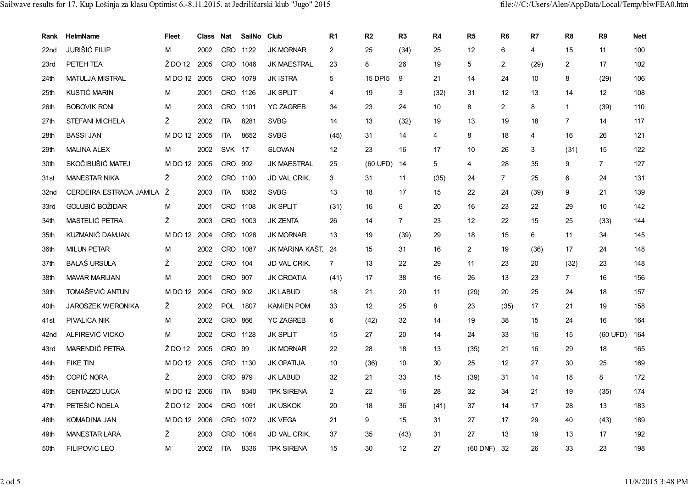| Rank | HelmName                  | <b>Fleet</b> | Class Nat |               | SailNo Club |                    | R <sub>1</sub> | R2          | R <sub>3</sub> | R4   | R <sub>5</sub> | R <sub>6</sub> | R7   | R <sub>8</sub> | R <sub>9</sub>  | <b>Nett</b> |
|------|---------------------------|--------------|-----------|---------------|-------------|--------------------|----------------|-------------|----------------|------|----------------|----------------|------|----------------|-----------------|-------------|
| 22nd | <b>JURIŠIĆ FILIP</b>      | M            | 2002      |               | CRO 1122    | <b>JK MORNAR</b>   | $\overline{2}$ | 25          | (34)           | 25   | 12             | 6              | 4    | 15             | 11              | 100         |
| 23rd | PETEH TEA                 | Ž DO 12      | 2005      |               | CRO 1046    | <b>JK MAESTRAL</b> | 23             | 8           | 26             | 19   | 5              | 2              | (29) | $\overline{c}$ | 17              | 102         |
| 24th | <b>MATULJA MISTRAL</b>    | M DO 12 2005 |           | <b>CRO</b>    | 1079        | <b>JK ISTRA</b>    | 5              | 15 DPI5     | 9              | 21   | 14             | 24             | 10   | 8              | (29)            | 106         |
| 25th | KUSTIĆ MARIN              | M            | 2001      | CRO 1126      |             | <b>JK SPLIT</b>    | $\overline{4}$ | 19          | 3              | (32) | 31             | 12             | 13   | 14             | 12              | 108         |
| 26th | <b>BOBOVIK RONI</b>       | м            | 2003      | <b>CRO</b>    | 1101        | <b>YC ZAGREB</b>   | 34             | 23          | 24             | 10   | 8              | $\overline{2}$ | 8    | $\mathbf{1}$   | (39)            | 110         |
| 27th | <b>STEFANI MICHELA</b>    | Ž            | 2002      | <b>ITA</b>    | 8281        | <b>SVBG</b>        | 14             | 13          | (32)           | 19   | 13             | 19             | 18   | $\overline{7}$ | 14              | 117         |
| 28th | <b>BASSI JAN</b>          | MDO 12 2005  |           | <b>ITA</b>    | 8652        | <b>SVBG</b>        | (45)           | 31          | 14             | 4    | 8              | 18             | 4    | 16             | 26              | 121         |
| 29th | <b>MALINA ALEX</b>        | M            | 2002      | <b>SVK 17</b> |             | <b>SLOVAN</b>      | 12             | 23          | 16             | 17   | 10             | 26             | 3    | (31)           | 15              | 122         |
| 30th | SKOČIBUŠIĆ MATEJ          | MDO 12 2005  |           | <b>CRO</b>    | 992         | <b>JK MAESTRAL</b> | 25             | (60 UFD) 14 |                | 5    | 4              | 28             | 35   | 9              | $7^{\circ}$     | 127         |
| 31st | <b>MANESTAR NIKA</b>      | Ž            | 2002      |               | CRO 1100    | JD VAL CRIK.       | 3              | 31          | 11             | (35) | 24             | $\overline{7}$ | 25   | 6              | 24              | 131         |
| 32nd | CERDEIRA ESTRADA JAMILA Ž |              | 2003      | <b>ITA</b>    | 8382        | <b>SVBG</b>        | 13             | 18          | 17             | 15   | 22             | 24             | (39) | 9              | 21              | 139         |
| 33rd | GOLUBIĆ BOŽIDAR           | M            | 2001      | CRO 1108      |             | <b>JK SPLIT</b>    | (31)           | 16          | 6              | 20   | 16             | 23             | 22   | 29             | 10 <sup>1</sup> | 142         |
| 34th | MASTELIĆ PETRA            | Ž            | 2003      | <b>CRO</b>    | 1003        | <b>JK ZENTA</b>    | 26             | 14          | $\overline{7}$ | 23   | 12             | 22             | 15   | 25             | (33)            | 144         |
| 35th | KUZMANIĆ DAMJAN           | MDO 12 2004  |           |               | CRO 1028    | <b>JK MORNAR</b>   | 13             | 19          | (39)           | 29   | 18             | 15             | 6    | 11             | 34              | 145         |
| 36th | <b>MILUN PETAR</b>        | м            | 2002      | <b>CRO</b>    | 1087        | JK MARINA KAŠT.    | 24             | 15          | 31             | 16   | $\overline{2}$ | 19             | (36) | 17             | 24              | 148         |
| 37th | <b>BALAŠ URSULA</b>       | Ž            | 2002      | CRO           | 104         | JD VAL CRIK.       | $\overline{7}$ | 13          | 22             | 29   | 11             | 23             | 20   | (32)           | 23              | 148         |
| 38th | <b>MAVAR MARIJAN</b>      | M            | 2001      | <b>CRO</b>    | 907         | <b>JK CROATIA</b>  | (41)           | 17          | 38             | 16   | 26             | 13             | 23   | $\overline{7}$ | 16              | 156         |
| 39th | TOMAŠEVIĆ ANTUN           | MDO 12 2004  |           | CRO           | 902         | <b>JK LABUD</b>    | 18             | 21          | 20             | 11   | (29)           | 20             | 25   | 24             | 18              | 157         |
| 40th | <b>JAROSZEK WERONIKA</b>  | Ž            | 2002      |               | POL 1807    | <b>KAMIEN POM</b>  | 33             | 12          | 25             | 8    | 23             | (35)           | 17   | 21             | 19              | 158         |
| 41st | <b>PIVALICA NIK</b>       | M            | 2002      | CRO 866       |             | <b>YC ZAGREB</b>   | 6              | (42)        | 32             | 14   | 19             | 38             | 15   | 24             | 16              | 164         |
| 42nd | ALFIREVIĆ VICKO           | M            | 2002      |               | CRO 1128    | <b>JK SPLIT</b>    | 15             | 27          | 20             | 14   | 24             | 33             | 16   | 15             | (60 UFD)        | 164         |
| 43rd | MARENDIĆ PETRA            | Ž DO 12      | 2005      | CRO 99        |             | <b>JK MORNAR</b>   | 22             | 28          | 18             | 13   | (35)           | 21             | 16   | 29             | 18              | 165         |
| 44th | <b>FIKE TIN</b>           | M DO 12 2005 |           |               | CRO 1130    | <b>JK OPATIJA</b>  | 10             | (36)        | 10             | 30   | 25             | 12             | 27   | 30             | 25              | 169         |
| 45th | COPIĆ NORA                | Ž            | 2003      | CRO 979       |             | <b>JK LABUD</b>    | 32             | 21          | 33             | 15   | (39)           | 31             | 14   | 18             | 8               | 172         |
| 46th | <b>CENTAZZO LUCA</b>      | M DO 12 2006 |           | <b>ITA</b>    | 8340        | <b>TPK SIRENA</b>  | $\overline{2}$ | 22          | 16             | 28   | 32             | 34             | 21   | 19             | (35)            | 174         |
| 47th | PETEŠIĆ NOELA             | Ž DO 12 2004 |           | <b>CRO</b>    | 1091        | <b>JK USKOK</b>    | 20             | 18          | 36             | (41) | 37             | 14             | 17   | 28             | 13              | 183         |
| 48th | <b>KOMADINA JAN</b>       | MDO 12 2006  |           | <b>CRO</b>    | 1072        | <b>JK VEGA</b>     | 21             | 9           | 15             | 31   | 27             | 17             | 29   | 40             | (43)            | 189         |
| 49th | <b>MANESTAR LARA</b>      | Ž            | 2003      | CRO           | 1064        | JD VAL CRIK.       | 37             | 35          | (43)           | 31   | 27             | 13             | 19   | 13             | 17              | 192         |
| 50th | <b>FILIPOVIC LEO</b>      | м            | 2002      | <b>ITA</b>    | 8336        | <b>TPK SIRENA</b>  | 15             | 30          | 12             | 27   | $(60$ DNF)     | 32             | 26   | 33             | 23              | 198         |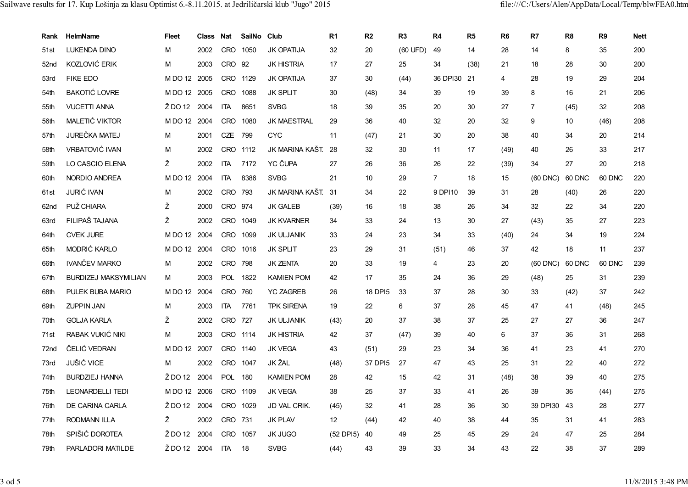| Rank             | <b>HelmName</b>             | <b>Fleet</b> | Class Nat |            | SailNo Club |                    | R <sub>1</sub> | R <sub>2</sub> | R <sub>3</sub> | R4             | R <sub>5</sub> | R <sub>6</sub> | R7             | R <sub>8</sub> | R <sub>9</sub> | <b>Nett</b> |
|------------------|-----------------------------|--------------|-----------|------------|-------------|--------------------|----------------|----------------|----------------|----------------|----------------|----------------|----------------|----------------|----------------|-------------|
| 51st             | <b>LUKENDA DINO</b>         | M            | 2002      | <b>CRO</b> | 1050        | <b>JK OPATIJA</b>  | 32             | 20             | (60 UFD)       | 49             | 14             | 28             | 14             | 8              | 35             | 200         |
| 52 <sub>nd</sub> | KOZLOVIĆ ERIK               | М            | 2003      | CRO        | 92          | <b>JK HISTRIA</b>  | 17             | 27             | 25             | 34             | (38)           | 21             | 18             | 28             | 30             | 200         |
| 53rd             | <b>FIKE EDO</b>             | MDO 12 2005  |           | <b>CRO</b> | 1129        | <b>JK OPATIJA</b>  | 37             | 30             | (44)           | 36 DPI30       | 21             | 4              | 28             | 19             | 29             | 204         |
| 54th             | <b>BAKOTIĆ LOVRE</b>        | MDO 12 2005  |           | <b>CRO</b> | 1088        | <b>JK SPLIT</b>    | 30             | (48)           | 34             | 39             | 19             | 39             | 8              | 16             | 21             | 206         |
| 55th             | <b>VUCETTI ANNA</b>         | $2$ DO 12    | 2004      | <b>ITA</b> | 8651        | <b>SVBG</b>        | 18             | 39             | 35             | 20             | 30             | 27             | $\overline{7}$ | (45)           | 32             | 208         |
| 56th             | MALETIĆ VIKTOR              | MDO 12 2004  |           | <b>CRO</b> | 1080        | <b>JK MAESTRAL</b> | 29             | 36             | 40             | 32             | 20             | 32             | 9              | 10             | (46)           | 208         |
| 57th             | <b>JUREČKA MATEJ</b>        | M            | 2001      | CZE        | 799         | <b>CYC</b>         | 11             | (47)           | 21             | 30             | 20             | 38             | 40             | 34             | 20             | 214         |
| 58th             | <b>VRBATOVIĆ IVAN</b>       | M            | 2002      | <b>CRO</b> | 1112        | JK MARINA KAŠT 28  |                | 32             | 30             | 11             | 17             | (49)           | 40             | 26             | 33             | 217         |
| 59th             | LO CASCIO ELENA             | Ž            | 2002      | <b>ITA</b> | 7172        | YC ČUPA            | 27             | 26             | 36             | 26             | 22             | (39)           | 34             | 27             | 20             | 218         |
| 60th             | NORDIO ANDREA               | MDO 12 2004  |           | <b>ITA</b> | 8386        | <b>SVBG</b>        | 21             | 10             | 29             | $\overline{7}$ | 18             | 15             | $(60$ DNC $)$  | 60 DNC         | 60 DNC         | 220         |
| 61st             | <b>JURIĆ IVAN</b>           | M            | 2002      | <b>CRO</b> | 793         | JK MARINA KAŠT 31  |                | 34             | 22             | 9 DPI10        | 39             | 31             | 28             | (40)           | 26             | 220         |
| 62 <sub>nd</sub> | PUŽ CHIARA                  | Ž            | 2000      | <b>CRO</b> | 974         | <b>JK GALEB</b>    | (39)           | 16             | 18             | 38             | 26             | 34             | 32             | 22             | 34             | 220         |
| 63rd             | FILIPAŠ TAJANA              | Ž            | 2002      | <b>CRO</b> | 1049        | <b>JK KVARNER</b>  | 34             | 33             | 24             | 13             | 30             | 27             | (43)           | 35             | 27             | 223         |
| 64th             | <b>CVEK JURE</b>            | MDO 12 2004  |           | CRO        | 1099        | <b>JK ULJANIK</b>  | 33             | 24             | 23             | 34             | 33             | (40)           | 24             | 34             | 19             | 224         |
| 65th             | MODRIĆ KARLO                | MDO 12 2004  |           | CRO        | 1016        | <b>JK SPLIT</b>    | 23             | 29             | 31             | (51)           | 46             | 37             | 42             | 18             | 11             | 237         |
| 66th             | <b>IVANČEV MARKO</b>        | м            | 2002      | <b>CRO</b> | 798         | <b>JK ZENTA</b>    | 20             | 33             | 19             | 4              | 23             | 20             | $(60$ DNC $)$  | 60 DNC         | 60 DNC         | 239         |
| 67th             | <b>BURDIZEJ MAKSYMILIAN</b> | М            | 2003      | <b>POL</b> | 1822        | <b>KAMIEN POM</b>  | 42             | 17             | 35             | 24             | 36             | 29             | (48)           | 25             | 31             | 239         |
| 68th             | PULEK BUBA MARIO            | MDO 12 2004  |           | CRO        | 760         | <b>YC ZAGREB</b>   | 26             | 18 DPI5        | 33             | 37             | 28             | 30             | 33             | (42)           | 37             | 242         |
| 69th             | <b>ZUPPIN JAN</b>           | М            | 2003      | <b>ITA</b> | 7761        | <b>TPK SIRENA</b>  | 19             | 22             | 6              | 37             | 28             | 45             | 47             | 41             | (48)           | 245         |
| 70th             | <b>GOLJA KARLA</b>          | Ž            | 2002      | <b>CRO</b> | 727         | JK ULJANIK         | (43)           | 20             | 37             | 38             | 37             | 25             | 27             | 27             | 36             | 247         |
| 71st             | RABAK VUKIĆ NIKI            | M            | 2003      | <b>CRO</b> | 1114        | <b>JK HISTRIA</b>  | 42             | 37             | (47)           | 39             | 40             | 6              | 37             | 36             | 31             | 268         |
| 72nd             | ČELIĆ VEDRAN                | MDO 12 2007  |           |            | CRO 1140    | <b>JK VEGA</b>     | 43             | (51)           | 29             | 23             | 34             | 36             | 41             | 23             | 41             | 270         |
| 73rd             | <b>JUŠIĆ VICE</b>           | M            | 2002      | <b>CRO</b> | 1047        | JK ŽAL             | (48)           | 37 DPI5        | 27             | 47             | 43             | 25             | 31             | 22             | 40             | 272         |
| 74th             | <b>BURDZIEJ HANNA</b>       | Ž DO 12      | 2004      | <b>POL</b> | 180         | <b>KAMIEN POM</b>  | 28             | 42             | 15             | 42             | 31             | (48)           | 38             | 39             | 40             | 275         |
| 75th             | <b>LEONARDELLI TEDI</b>     | MDO 12 2006  |           | <b>CRO</b> | 1109        | <b>JK VEGA</b>     | 38             | 25             | 37             | 33             | 41             | 26             | 39             | 36             | (44)           | 275         |
| 76th             | DE CARINA CARLA             | Ž DO 12 2004 |           | <b>CRO</b> | 1029        | JD VAL CRIK.       | (45)           | 32             | 41             | 28             | 36             | 30             | 39 DPI30       | 43             | 28             | 277         |
| 77th             | <b>RODMANN ILLA</b>         | Ž            | 2002      | <b>CRO</b> | 731         | <b>JK PLAV</b>     | 12             | (44)           | 42             | 40             | 38             | 44             | 35             | 31             | 41             | 283         |
| 78th             | SPIŠIĆ DOROTEA              | Ž DO 12 2004 |           | <b>CRO</b> | 1057        | <b>JK JUGO</b>     | (52 DPI5)      | 40             | 49             | 25             | 45             | 29             | 24             | 47             | 25             | 284         |
| 79th             | PARLADORI MATILDE           | Ž DO 12 2004 |           | <b>ITA</b> | 18          | <b>SVBG</b>        | (44)           | 43             | 39             | 33             | 34             | 43             | 22             | 38             | 37             | 289         |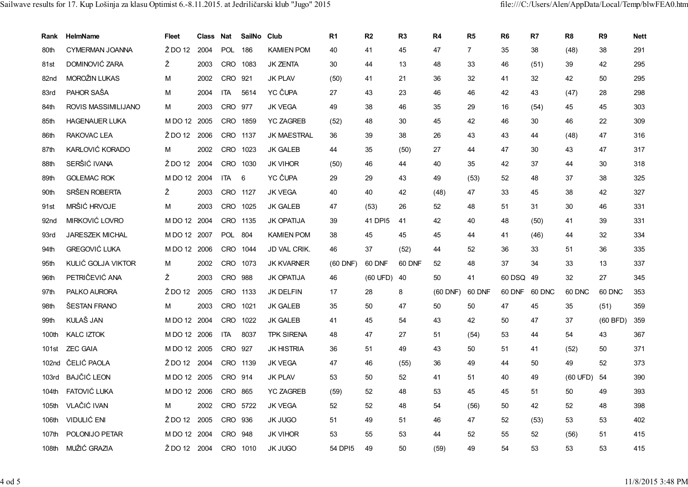| Rank              | HelmName               | <b>Fleet</b> | Class Nat |            | SailNo Club |                    | R <sub>1</sub> | R <sub>2</sub> | R <sub>3</sub> | R4         | R <sub>5</sub> | R <sub>6</sub> | R7     | R <sub>8</sub>     | R <sub>9</sub> | <b>Nett</b> |
|-------------------|------------------------|--------------|-----------|------------|-------------|--------------------|----------------|----------------|----------------|------------|----------------|----------------|--------|--------------------|----------------|-------------|
| 80th              | <b>CYMERMAN JOANNA</b> | Ž DO 12      | 2004      | <b>POL</b> | 186         | <b>KAMIEN POM</b>  | 40             | 41             | 45             | 47         | $\overline{7}$ | 35             | 38     | (48)               | 38             | 291         |
| 81st              | DOMINOVIĆ ZARA         | Ž            | 2003      | CRO        | 1083        | <b>JK ZENTA</b>    | 30             | 44             | 13             | 48         | 33             | 46             | (51)   | 39                 | 42             | 295         |
| 82 <sub>nd</sub>  | MOROŽIN LUKAS          | M            | 2002      | <b>CRO</b> | 921         | <b>JK PLAV</b>     | (50)           | 41             | 21             | 36         | 32             | 41             | 32     | 42                 | 50             | 295         |
| 83rd              | PAHOR SAŠA             | м            | 2004      | <b>ITA</b> | 5614        | YC ČUPA            | 27             | 43             | 23             | 46         | 46             | 42             | 43     | (47)               | 28             | 298         |
| 84th              | ROVIS MASSIMILIJANO    | М            | 2003      | <b>CRO</b> | 977         | <b>JK VEGA</b>     | 49             | 38             | 46             | 35         | 29             | 16             | (54)   | 45                 | 45             | 303         |
| 85th              | <b>HAGENAUER LUKA</b>  | MDO 12 2005  |           | <b>CRO</b> | 1859        | <b>YC ZAGREB</b>   | (52)           | 48             | 30             | 45         | 42             | 46             | 30     | 46                 | 22             | 309         |
| 86th              | RAKOVAC LEA            | Ž DO 12      | 2006      |            | CRO 1137    | <b>JK MAESTRAL</b> | 36             | 39             | 38             | 26         | 43             | 43             | 44     | (48)               | 47             | 316         |
| 87th              | KARLOVIĆ KORADO        | м            | 2002      | <b>CRO</b> | 1023        | <b>JK GALEB</b>    | 44             | 35             | (50)           | 27         | 44             | 47             | 30     | 43                 | 47             | 317         |
| 88th              | SERŠIĆ IVANA           | Ž DO 12      | 2004      | <b>CRO</b> | 1030        | <b>JK VIHOR</b>    | (50)           | 46             | 44             | 40         | 35             | 42             | 37     | 44                 | 30             | 318         |
| 89th              | <b>GOLEMAC ROK</b>     | M DO 12 2004 |           | ITA.       | 6           | YC ČUPA            | 29             | 29             | 43             | 49         | (53)           | 52             | 48     | 37                 | 38             | 325         |
| 90th              | SRŠEN ROBERTA          | Ž            | 2003      | <b>CRO</b> | 1127        | <b>JK VEGA</b>     | 40             | 40             | 42             | (48)       | 47             | 33             | 45     | 38                 | 42             | 327         |
| 91st              | MRŠIĆ HRVOJE           | M            | 2003      | CRO        | 1025        | <b>JK GALEB</b>    | 47             | (53)           | 26             | 52         | 48             | 51             | 31     | 30                 | 46             | 331         |
| 92 <sub>nd</sub>  | MIRKOVIĆ LOVRO         | M DO 12 2004 |           | CRO        | 1135        | <b>JK OPATIJA</b>  | 39             | 41 DPI5        | 41             | 42         | 40             | 48             | (50)   | 41                 | 39             | 331         |
| 93rd              | <b>JARESZEK MICHAL</b> | MDO 12 2007  |           | <b>POL</b> | 804         | <b>KAMIEN POM</b>  | 38             | 45             | 45             | 45         | 44             | 41             | (46)   | 44                 | 32             | 334         |
| 94th              | <b>GREGOVIĆ LUKA</b>   | MDO 12 2006  |           | <b>CRO</b> | 1044        | JD VAL CRIK.       | 46             | 37             | (52)           | 44         | 52             | 36             | 33     | 51                 | 36             | 335         |
| 95th              | KULIĆ GOLJA VIKTOR     | М            | 2002      | <b>CRO</b> | 1073        | <b>JK KVARNER</b>  | $(60$ DNF)     | 60 DNF         | 60 DNF         | 52         | 48             | 37             | 34     | 33                 | 13             | 337         |
| 96th              | PETRIČEVIĆ ANA         | Ž            | 2003      | <b>CRO</b> | 988         | <b>JK OPATIJA</b>  | 46             | (60 UFD)       | 40             | 50         | 41             | 60 DSQ 49      |        | 32                 | 27             | 345         |
| 97th              | PALKO AURORA           | Ž DO 12      | 2005      |            | CRO 1133    | JK DELFIN          | 17             | 28             | 8              | $(60$ DNF) | 60 DNF         | 60 DNF         | 60 DNC | 60 DNC             | 60 DNC         | 353         |
| 98th              | ŠESTAN FRANO           | M            | 2003      | <b>CRO</b> | 1021        | <b>JK GALEB</b>    | 35             | 50             | 47             | 50         | 50             | 47             | 45     | 35                 | (51)           | 359         |
| 99th              | <b>KULAŠ JAN</b>       | MDO 12 2004  |           | <b>CRO</b> | 1022        | <b>JK GALEB</b>    | 41             | 45             | 54             | 43         | 42             | 50             | 47     | 37                 | $(60$ BFD)     | 359         |
| 100th             | <b>KALC IZTOK</b>      | MDO 12 2006  |           | ITA        | 8037        | <b>TPK SIRENA</b>  | 48             | 47             | 27             | 51         | (54)           | 53             | 44     | 54                 | 43             | 367         |
| 101st             | <b>ZEC GAIA</b>        | MDO 12 2005  |           | CRO        | 927         | <b>JK HISTRIA</b>  | 36             | 51             | 49             | 43         | 50             | 51             | 41     | (52)               | 50             | 371         |
| 102 <sub>nd</sub> | ČELIĆ PAOLA            | Ž DO 12      | 2004      | <b>CRO</b> | 1139        | <b>JK VEGA</b>     | 47             | 46             | (55)           | 36         | 49             | 44             | 50     | 49                 | 52             | 373         |
| 103rd             | <b>BAJČIĆ LEON</b>     | MDO 12 2005  |           | CRO        | 914         | <b>JK PLAV</b>     | 53             | 50             | 52             | 41         | 51             | 40             | 49     | $(60 \text{ UFD})$ | 54             | 390         |
| 104th             | <b>FATOVIĆ LUKA</b>    | MDO 12 2006  |           | CRO        | 865         | <b>YC ZAGREB</b>   | (59)           | 52             | 48             | 53         | 45             | 45             | 51     | 50                 | 49             | 393         |
| 105th             | VLAČIĆ IVAN            | м            | 2002      |            | CRO 5722    | <b>JK VEGA</b>     | 52             | 52             | 48             | 54         | (56)           | 50             | 42     | 52                 | 48             | 398         |
| 106th             | <b>VIDULIĆ ENI</b>     | $2$ DO 12    | 2005      | CRO        | 936         | JK JUGO            | 51             | 49             | 51             | 46         | 47             | 52             | (53)   | 53                 | 53             | 402         |
| 107th             | POLONIJO PETAR         | MDO 12 2004  |           | CRO        | 948         | <b>JK VIHOR</b>    | 53             | 55             | 53             | 44         | 52             | 55             | 52     | (56)               | 51             | 415         |
| 108 <sub>th</sub> | MUŽIĆ GRAZIA           | Ž DO 12 2004 |           | CRO        | 1010        | <b>JK JUGO</b>     | 54 DPI5        | 49             | 50             | (59)       | 49             | 54             | 53     | 53                 | 53             | 415         |